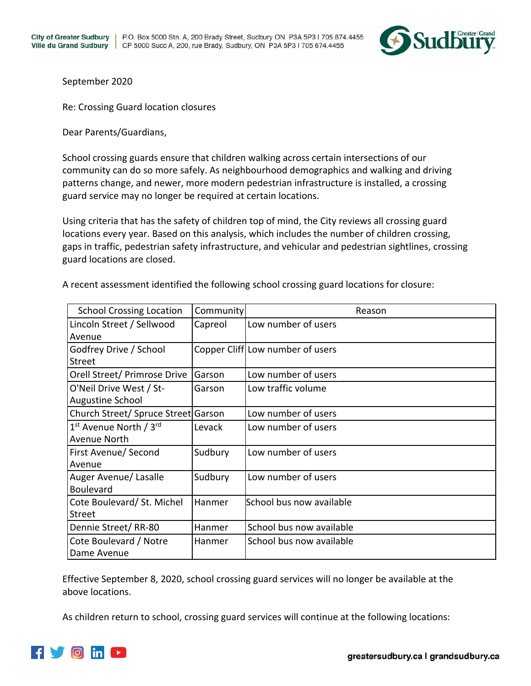

September 2020

Re: Crossing Guard location closures

Dear Parents/Guardians,

School crossing guards ensure that children walking across certain intersections of our community can do so more safely. As neighbourhood demographics and walking and driving patterns change, and newer, more modern pedestrian infrastructure is installed, a crossing guard service may no longer be required at certain locations.

Using criteria that has the safety of children top of mind, the City reviews all crossing guard locations every year. Based on this analysis, which includes the number of children crossing, gaps in traffic, pedestrian safety infrastructure, and vehicular and pedestrian sightlines, crossing guard locations are closed.

| <b>School Crossing Location</b>     | Community | Reason                           |
|-------------------------------------|-----------|----------------------------------|
| Lincoln Street / Sellwood           | Capreol   | Low number of users              |
| Avenue                              |           |                                  |
| Godfrey Drive / School              |           | Copper Cliff Low number of users |
| <b>Street</b>                       |           |                                  |
| Orell Street/ Primrose Drive        | Garson    | Low number of users              |
| O'Neil Drive West / St-             | Garson    | Low traffic volume               |
| Augustine School                    |           |                                  |
| Church Street/ Spruce Street Garson |           | Low number of users              |
| 1 <sup>st</sup> Avenue North / 3rd  | Levack    | Low number of users              |
| Avenue North                        |           |                                  |
| First Avenue/ Second                | Sudbury   | Low number of users              |
| Avenue                              |           |                                  |
| Auger Avenue/ Lasalle               | Sudbury   | Low number of users              |
| <b>Boulevard</b>                    |           |                                  |
| Cote Boulevard/ St. Michel          | Hanmer    | School bus now available         |
| <b>Street</b>                       |           |                                  |
| Dennie Street/RR-80                 | Hanmer    | School bus now available         |
| Cote Boulevard / Notre              | Hanmer    | School bus now available         |
| Dame Avenue                         |           |                                  |

A recent assessment identified the following school crossing guard locations for closure:

Effective September 8, 2020, school crossing guard services will no longer be available at the above locations.

As children return to school, crossing guard services will continue at the following locations: